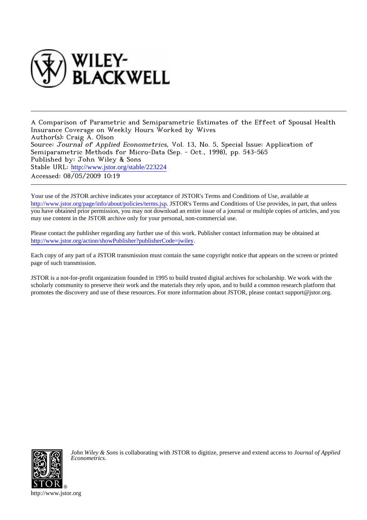

A Comparison of Parametric and Semiparametric Estimates of the Effect of Spousal Health Insurance Coverage on Weekly Hours Worked by Wives Author(s): Craig A. Olson Source: Journal of Applied Econometrics, Vol. 13, No. 5, Special Issue: Application of Semiparametric Methods for Micro-Data (Sep. - Oct., 1998), pp. 543-565 Published by: John Wiley & Sons Stable URL: [http://www.jstor.org/stable/223224](http://www.jstor.org/stable/223224?origin=JSTOR-pdf) Accessed: 08/05/2009 10:19

Your use of the JSTOR archive indicates your acceptance of JSTOR's Terms and Conditions of Use, available at <http://www.jstor.org/page/info/about/policies/terms.jsp>. JSTOR's Terms and Conditions of Use provides, in part, that unless you have obtained prior permission, you may not download an entire issue of a journal or multiple copies of articles, and you may use content in the JSTOR archive only for your personal, non-commercial use.

Please contact the publisher regarding any further use of this work. Publisher contact information may be obtained at [http://www.jstor.org/action/showPublisher?publisherCode=jwiley.](http://www.jstor.org/action/showPublisher?publisherCode=jwiley)

Each copy of any part of a JSTOR transmission must contain the same copyright notice that appears on the screen or printed page of such transmission.

JSTOR is a not-for-profit organization founded in 1995 to build trusted digital archives for scholarship. We work with the scholarly community to preserve their work and the materials they rely upon, and to build a common research platform that promotes the discovery and use of these resources. For more information about JSTOR, please contact support@jstor.org.



*John Wiley & Sons* is collaborating with JSTOR to digitize, preserve and extend access to *Journal of Applied Econometrics.*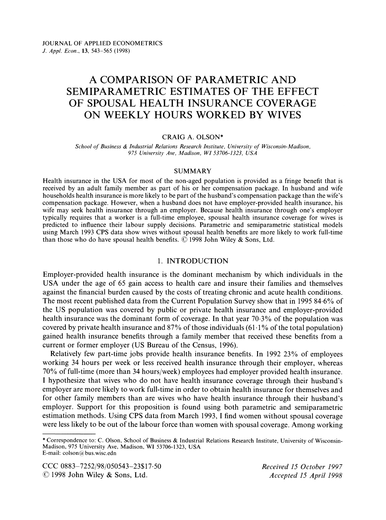# **A COMPARISON OF PARAMETRIC AND SEMIPARAMETRIC ESTIMATES OF THE EFFECT OF SPOUSAL HEALTH INSURANCE COVERAGE ON WEEKLY HOURS WORKED BY WIVES**

#### **CRAIG A. OLSON\***

**School of Business & Industrial Relations Research Institute, University of Wisconsin-Madison, 975 University Ave, Madison, WI 53706-1323, USA** 

#### **SUMMARY**

**Health insurance in the USA for most of the non-aged population is provided as a fringe benefit that is received by an adult family member as part of his or her compensation package. In husband and wife households health insurance is more likely to be part of the husband's compensation package than the wife's compensation package. However, when a husband does not have employer-provided health insurance, his wife may seek health insurance through an employer. Because health insurance through one's employer typically requires that a worker is a full-time employee, spousal health insurance coverage for wives is predicted to influence their labour supply decisions. Parametric and semiparametric statistical models using March 1993 CPS data show wives without spousal health benefits are more likely to work full-time**  than those who do have spousal health benefits. © 1998 John Wiley & Sons, Ltd.

# **1. INTRODUCTION**

**Employer-provided health insurance is the dominant mechanism by which individuals in the USA under the age of 65 gain access to health care and insure their families and themselves against the financial burden caused by the costs of treating chronic and acute health conditions. The most recent published data from the Current Population Survey show that in 1995 84-6% of the US population was covered by public or private health insurance and employer-provided health insurance was the dominant form of coverage. In that year 70.3% of the population was covered by private health insurance and 87% of those individuals (61 1 % of the total population) gained health insurance benefits through a family member that received these benefits from a current or former employer (US Bureau of the Census, 1996).** 

**Relatively few part-time jobs provide health insurance benefits. In 1992 23% of employees working 34 hours per week or less received health insurance through their employer, whereas 70% of full-time (more than 34 hours/week) employees had employer provided health insurance. I hypothesize that wives who do not have health insurance coverage through their husband's employer are more likely to work full-time in order to obtain health insurance for themselves and for other family members than are wives who have health insurance through their husband's employer. Support for this proposition is found using both parametric and semiparametric estimation methods. Using CPS data from March 1993, I find women without spousal coverage were less likely to be out of the labour force than women with spousal coverage. Among working** 

**<sup>\*</sup> Correspondence to: C. Olson, School of Business & Industrial Relations Research Institute, University of Wisconsin-Madison, 975 University Ave, Madison, WI 53706-1323, USA E-mail: colson@bus.wisc.edn** 

**CCC 0883-7252/98/050543-23\$17.50 Received 15 October 1997 ? 1998 John Wiley & Sons, Ltd. Accepted 15 April 1998**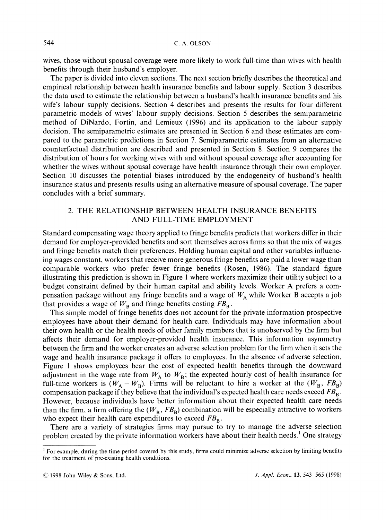**wives, those without spousal coverage were more likely to work full-time than wives with health benefits through their husband's employer.** 

**The paper is divided into eleven sections. The next section briefly describes the theoretical and empirical relationship between health insurance benefits and labour supply. Section 3 describes the data used to estimate the relationship between a husband's health insurance benefits and his wife's labour supply decisions. Section 4 describes and presents the results for four different parametric models of wives' labour supply decisions. Section 5 describes the semiparametric method of DiNardo, Fortin, and Lemieux (1996) and its application to the labour supply decision. The semiparametric estimates are presented in Section 6 and these estimates are compared to the parametric predictions in Section 7. Semiparametric estimates from an alternative counterfactual distribution are described and presented in Section 8. Section 9 compares the distribution of hours for working wives with and without spousal coverage after accounting for whether the wives without spousal coverage have health insurance through their own employer. Section 10 discusses the potential biases introduced by the endogeneity of husband's health insurance status and presents results using an alternative measure of spousal coverage. The paper concludes with a brief summary.** 

# **2. THE RELATIONSHIP BETWEEN HEALTH INSURANCE BENEFITS AND FULL-TIME EMPLOYMENT**

**Standard compensating wage theory applied to fringe benefits predicts that workers differ in their demand for employer-provided benefits and sort themselves across firms so that the mix of wages and fringe benefits match their preferences. Holding human capital and other variables influencing wages constant, workers that receive more generous fringe benefits are paid a lower wage than comparable workers who prefer fewer fringe benefits (Rosen, 1986). The standard figure illustrating this prediction is shown in Figure 1 where workers maximize their utility subject to a budget constraint defined by their human capital and ability levels. Worker A prefers a com**pensation package without any fringe benefits and a wage of  $W_A$  while Worker B accepts a job that provides a wage of  $W_B$  and fringe benefits costing  $FB_B$ .

**This simple model of fringe benefits does not account for the private information prospective employees have about their demand for health care. Individuals may have information about their own health or the health needs of other family members that is unobserved by the firm but affects their demand for employer-provided health insurance. This information asymmetry between the firm and the worker creates an adverse selection problem for the firm when it sets the wage and health insurance package it offers to employees. In the absence of adverse selection, Figure 1 shows employees bear the cost of expected health benefits through the downward**  adjustment in the wage rate from  $W_A$  to  $W_B$ ; the expected hourly cost of health insurance for full-time workers is  $(W_A - W_B)$ . Firms will be reluctant to hire a worker at the  $(W_B, FB_B)$ compensation package if they believe that the individual's expected health care needs exceed  $FB_B$ . **However, because individuals have better information about their expected health care needs**  than the firm, a firm offering the  $(W_B, FB_B)$  combination will be especially attractive to workers who expect their health care expenditures to exceed  $FB_B$ .

There are a variety of strategies firms may pursue to try to manage the adverse selection **problem created by the private information workers have about their health needs.' One strategy** 

**<sup>1</sup>For example, during the time period covered by this study, firms could minimize adverse selection by limiting benefits for the treatment of pre-existing health conditions.** 

**<sup>?) 1998</sup> John Wiley & Sons, Ltd.**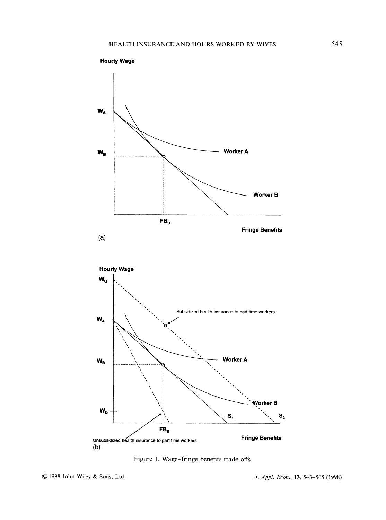

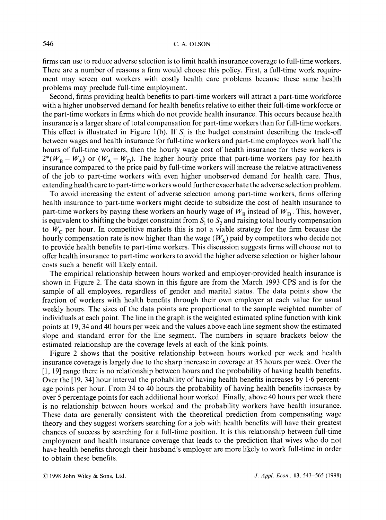**firms can use to reduce adverse selection is to limit health insurance coverage to full-time workers. There are a number of reasons a firm would choose this policy. First, a full-time work requirement may screen out workers with costly health care problems because these same health problems may preclude full-time employment.** 

**Second, firms providing health benefits to part-time workers will attract a part-time workforce with a higher unobserved demand for health benefits relative to either their full-time workforce or the part-time workers in firms which do not provide health insurance. This occurs because health insurance is a larger share of total compensation for part-time workers than for full-time workers.**  This effect is illustrated in Figure 1(b). If  $S<sub>1</sub>$  is the budget constraint describing the trade-off **between wages and health insurance for full-time workers and part-time employees work half the hours of full-time workers, then the hourly wage cost of health insurance for these workers is**   $2*(W_B - W_A)$  or  $(W_A - W_D)$ . The higher hourly price that part-time workers pay for health **insurance compared to the price paid by full-time workers will increase the relative attractiveness of the job to part-time workers with even higher unobserved demand for health care. Thus, extending health care to part-time workers would further exacerbate the adverse selection problem.** 

**To avoid increasing the extent of adverse selection among part-time workers, firms offering health insurance to part-time workers might decide to subsidize the cost of health insurance to**  part-time workers by paying these workers an hourly wage of  $W_B$  instead of  $W_D$ . This, however, is equivalent to shifting the budget constraint from  $S<sub>1</sub>$  to  $S<sub>2</sub>$  and raising total hourly compensation to  $W_c$  per hour. In competitive markets this is not a viable strategy for the firm because the hourly compensation rate is now higher than the wage  $(W<sub>A</sub>)$  paid by competitors who decide not **to provide health benefits to part-time workers. This discussion suggests firms will choose not to offer health insurance to part-time workers to avoid the higher adverse selection or higher labour costs such a benefit will likely entail.** 

**The empirical relationship between hours worked and employer-provided health insurance is shown in Figure 2. The data shown in this figure are from the March 1993 CPS and is for the sample of all employees, regardless of gender and marital status. The data points show the fraction of workers with health benefits through their own employer at each value for usual weekly hours. The sizes of the data points are proportional to the sample weighted number of individuals at each point. The line in the graph is the weighted estimated spline function with kink points at 19, 34 and 40 hours per week and the values above each line segment show the estimated slope and standard error for the line segment. The numbers in square brackets below the estimated relationship are the coverage levels at each of the kink points.** 

**Figure 2 shows that the positive relationship between hours worked per week and health insurance coverage is largely due to the sharp increase in coverage at 35 hours per week. Over the [1, 19] range there is no relationship between hours and the probability of having health benefits.**  Over the [19, 34] hour interval the probability of having health benefits increases by 1.6 percent**age points per hour. From 34 to 40 hours the probability of having health benefits increases by over 5 percentage points for each additional hour worked. Finally, above 40 hours per week there is no relationship between hours worked and the probability workers have health insurance. These data are generally consistent with the theoretical prediction from compensating wage theory and they suggest workers searching for a job with health benefits will have their greatest chances of success by searching for a full-time position. It is this relationship between full-time employment and health insurance coverage that leads to the prediction that wives who do not have health benefits through their husband's employer are more likely to work full-time in order to obtain these benefits.**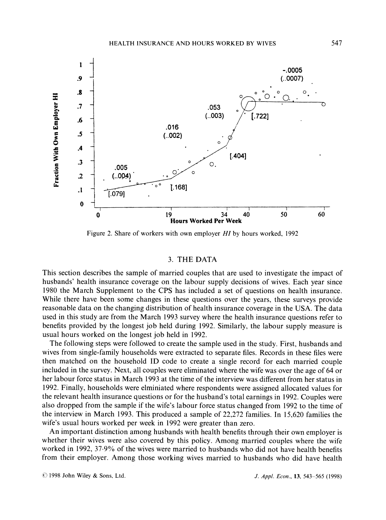

**Figure 2. Share of workers with own employer HI by hours worked, 1992** 

## **3. THE DATA**

**This section describes the sample of married couples that are used to investigate the impact of husbands' health insurance coverage on the labour supply decisions of wives. Each year since 1980 the March Supplement to the CPS has included a set of questions on health insurance. While there have been some changes in these questions over the years, these surveys provide reasonable data on the changing distribution of health insurance coverage in the USA. The data used in this study are from the March 1993 survey where the health insurance questions refer to benefits provided by the longest job held during 1992. Similarly, the labour supply measure is usual hours worked on the longest job held in 1992.** 

**The following steps were followed to create the sample used in the study. First, husbands and wives from single-family households were extracted to separate files. Records in these files were then matched on the household ID code to create a single record for each married couple included in the survey. Next, all couples were eliminated where the wife was over the age of 64 or her labour force status in March 1993 at the time of the interview was different from her status in 1992. Finally, households were elminiated where respondents were assigned allocated values for the relevant health insurance questions or for the husband's total earnings in 1992. Couples were also dropped from the sample if the wife's labour force status changed from 1992 to the time of the interview in March 1993. This produced a sample of 22,272 families. In 15,620 families the wife's usual hours worked per week in 1992 were greater than zero.** 

**An important distinction among husbands with health benefits through their own employer is whether their wives were also covered by this policy. Among married couples where the wife worked in 1992, 37 9% of the wives were married to husbands who did not have health benefits from their employer. Among those working wives married to husbands who did have health**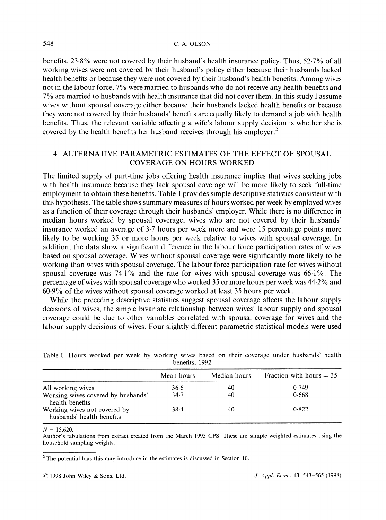**benefits, 23-8% were not covered by their husband's health insurance policy. Thus, 52 7% of all working wives were not covered by their husband's policy either because their husbands lacked health benefits or because they were not covered by their husband's health benefits. Among wives not in the labour force, 7% were married to husbands who do not receive any health benefits and 7% are married to husbands with health insurance that did not cover them. In this study I assume wives without spousal coverage either because their husbands lacked health benefits or because they were not covered by their husbands' benefits are equally likely to demand a job with health benefits. Thus, the relevant variable affecting a wife's labour supply decision is whether she is covered by the health benefits her husband receives through his employer.2** 

# **4. ALTERNATIVE PARAMETRIC ESTIMATES OF THE EFFECT OF SPOUSAL COVERAGE ON HOURS WORKED**

**The limited supply of part-time jobs offering health insurance implies that wives seeking jobs with health insurance because they lack spousal coverage will be more likely to seek full-time employment to obtain these benefits. Table I provides simple descriptive statistics consistent with this hypothesis. The table shows summary measures of hours worked per week by employed wives as a function of their coverage through their husbands' employer. While there is no difference in median hours worked by spousal coverage, wives who are not covered by their husbands' insurance worked an average of 3.7 hours per week more and were 15 percentage points more likely to be working 35 or more hours per week relative to wives with spousal coverage. In addition, the data show a significant difference in the labour force participation rates of wives based on spousal coverage. Wives without spousal coverage were significantly more likely to be working than wives with spousal coverage. The labour force participation rate for wives without spousal coverage was 74-1% and the rate for wives with spousal coverage was 66 1%. The percentage of wives with spousal coverage who worked 35 or more hours per week was 44.2% and 60-9% of the wives without spousal coverage worked at least 35 hours per week.** 

**While the preceding descriptive statistics suggest spousal coverage affects the labour supply decisions of wives, the simple bivariate relationship between wives' labour supply and spousal coverage could be due to other variables correlated with spousal coverage for wives and the labour supply decisions of wives. Four slightly different parametric statistical models were used** 

|                                                           | Mean hours | Median hours | Fraction with hours $=$ 35 |
|-----------------------------------------------------------|------------|--------------|----------------------------|
| All working wives                                         | 36.6       | 40           | 0.749                      |
| Working wives covered by husbands'<br>health benefits     | 34.7       | 40           | 0.668                      |
| Working wives not covered by<br>husbands' health benefits | 38.4       | 40           | 0.822                      |

**Table I. Hours worked per week by working wives based on their coverage under husbands' health benefits, 1992** 

 $N = 15,620$ .

**Author's tabulations from extract created from the March 1993 CPS. These are sample weighted estimates using the household sampling weights.** 

**<sup>2</sup>The potential bias this may introduce in the estimates is discussed in Section 10.**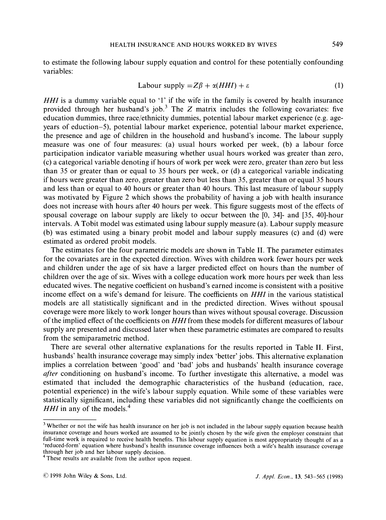**to estimate the following labour supply equation and control for these potentially confounding variables:** 

$$
Labour supply = Z\beta + \alpha(HHI) + \varepsilon
$$
 (1)

**HHI is a dummy variable equal to '1' if the wife in the family is covered by health insurance provided through her husband's job.3 The Z matrix includes the following covariates: five education dummies, three race/ethnicity dummies, potential labour market experience (e.g. ageyears of eduction-5), potential labour market experience, potential labour market experience,**  the presence and age of children in the household and husband's income. The labour supply **measure was one of four measures: (a) usual hours worked per week, (b) a labour force participation indicator variable measuring whether usual hours worked was greater than zero, (c) a categorical variable denoting if hours of work per week were zero, greater than zero but less than 35 or greater than or equal to 35 hours per week, or (d) a categorical variable indicating if hours were greater than zero, greater than zero but less than 35, greater than or equal 35 hours and less than or equal to 40 hours or greater than 40 hours. This last measure of labour supply was motivated by Figure 2 which shows the probability of having a job with health insurance does not increase with hours after 40 hours per week. This figure suggests most of the effects of spousal coverage on labour supply are likely to occur between the [0, 34]- and [35, 40]-hour intervals. A Tobit model was estimated using labour supply measure (a). Labour supply measure (b) was estimated using a binary probit model and labour supply measures (c) and (d) were estimated as ordered probit models.** 

**The estimates for the four parametric models are shown in Table II. The parameter estimates for the covariates are in the expected direction. Wives with children work fewer hours per week and children under the age of six have a larger predicted effect on hours than the number of children over the age of six. Wives with a college education work more hours per week than less educated wives. The negative coefficient on husband's earned income is consistent with a positive income effect on a wife's demand for leisure. The coefficients on HHI in the various statistical models are all statistically significant and in the predicted direction. Wives without spousal coverage were more likely to work longer hours than wives without spousal coverage. Discussion of the implied effect of the coefficients on HHI from these models for different measures of labour supply are presented and discussed later when these parametric estimates are compared to results from the semiparametric method.** 

**There are several other alternative explanations for the results reported in Table II. First, husbands' health insurance coverage may simply index 'better' jobs. This alternative explanation implies a correlation between 'good' and 'bad' jobs and husbands' health insurance coverage after conditioning on husband's income. To further investigate this alternative, a model was estimated that included the demographic characteristics of the husband (education, race, potential experience) in the wife's labour supply equation. While some of these variables were statistically significant, including these variables did not significantly change the coefficients on HHI in any of the models.4** 

**<sup>3</sup>Whether or not the wife has health insurance on her job is not included in the labour supply equation because health insurance coverage and hours worked are assumed to be jointly chosen by the wife given the employer constraint that full-time work is required to receive health benefits. This labour supply equation is most appropriately thought of as a 'reduced-form' equation where husband's health insurance coverage influences both a wife's health insurance coverage** 

These results are available from the author upon request.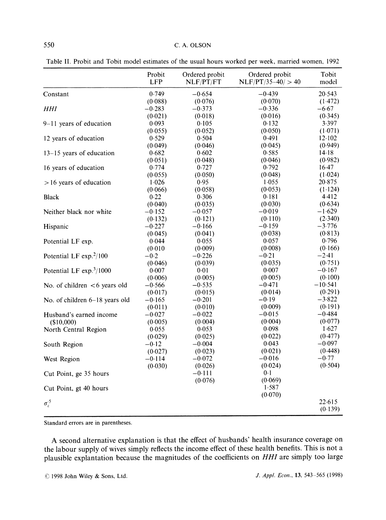|                                      | Probit<br><b>LFP</b> | Ordered probit<br>NLF/PT/FT | Ordered probit<br>$NLF/PT/35-40/ > 40$ | Tobit<br>model |
|--------------------------------------|----------------------|-----------------------------|----------------------------------------|----------------|
| Constant                             | 0.749                | $-0.654$                    | $-0.439$                               | 20.543         |
|                                      | (0.088)              | (0.076)                     | (0.070)                                | (1.472)        |
| HHI                                  | $-0.283$             | $-0.373$                    | $-0.336$                               | $-6.67$        |
|                                      | (0.021)              | (0.018)                     | (0.016)                                | (0.345)        |
| 9-11 years of education              | 0.093                | 0.105                       | 0.132                                  | 3.397          |
|                                      | (0.055)              | (0.052)                     | (0.050)                                | (1.071)        |
| 12 years of education                | 0.529                | 0.504                       | 0.491                                  | 12.102         |
|                                      | (0.049)              | (0.046)                     | (0.045)                                | (0.949)        |
| 13-15 years of education             | 0.682                | 0.602                       | 0.585                                  | 14.18          |
|                                      | (0.051)              | (0.048)                     | (0.046)                                | (0.982)        |
| 16 years of education                | 0.774                | 0.727                       | 0.792                                  | 16.47          |
|                                      | (0.055)              | (0.050)                     | (0.048)                                | (1.024)        |
| $>16$ years of education             | 1.026                | 0.95                        | 1.055                                  | 20.875         |
|                                      | (0.066)              | (0.058)                     | (0.053)                                | (1.124)        |
| <b>Black</b>                         | 0.22                 | 0.306                       | 0.181                                  | 4.412          |
|                                      | (0.040)              | (0.035)                     | (0.030)                                | (0.634)        |
| Neither black nor white              | $-0.152$             | $-0.057$                    | $-0.019$                               | $-1.629$       |
|                                      | (0.132)              | (0.121)                     | (0.110)                                | (2.340)        |
| Hispanic                             | $-0.227$             | $-0.166$                    | $-0.159$                               | $-3.776$       |
|                                      | (0.045)              | (0.041)                     | (0.038)                                | (0.813)        |
| Potential LF exp.                    | 0.044                | 0.055                       | 0.057                                  | 0.796          |
|                                      | (0.010)              | (0.009)                     | (0.008)                                | (0.166)        |
| Potential LF $exp.2/100$             | $-0.2$               | $-0.226$                    | $-0.21$                                | $-2.41$        |
|                                      | (0.046)              | (0.039)                     | (0.035)                                | (0.751)        |
| Potential LF exp. <sup>3</sup> /1000 | 0.007                | 0.01                        | 0.007                                  | $-0.167$       |
|                                      | (0.006)              | (0.005)                     | (0.005)                                | (0.100)        |
| No. of children $<$ 6 years old      | $-0.566$             | $-0.535$                    | $-0.471$                               | $-10.541$      |
|                                      | (0.017)              | (0.015)                     | (0.014)                                | (0.291)        |
| No. of children 6-18 years old       | $-0.165$             | $-0.201$                    | $-0.19$                                | $-3.822$       |
|                                      | (0.011)              | (0.010)                     | (0.009)                                | (0.191)        |
| Husband's earned income              | $-0.027$             | $-0.022$                    | $-0.015$                               | $-0.484$       |
| (\$10,000)                           | (0.005)              | (0.004)                     | (0.004)                                | (0.077)        |
| North Central Region                 | 0.055                | 0.053                       | 0.098                                  | 1.627          |
|                                      | (0.029)              | (0.025)                     | (0.022)                                | (0.477)        |
| South Region                         | $-0.12$              | $-0.004$                    | 0.043                                  | $-0.097$       |
|                                      | (0.027)              | (0.023)                     | (0.021)                                | (0.448)        |
| West Region                          | $-0.114$             | $-0.072$                    | $-0.016$                               | $-0.77$        |
|                                      | (0.030)              | (0.026)                     | (0.024)                                | (0.504)        |
| Cut Point, ge 35 hours               |                      | $-0.111$                    | 0.1                                    |                |
|                                      |                      | (0.076)                     | (0.069)                                |                |
| Cut Point, gt 40 hours               |                      |                             | 1.587                                  |                |
|                                      |                      |                             | (0.070)                                |                |
| $\sigma_r^{\cdot 5}$                 |                      |                             |                                        | 22.615         |
|                                      |                      |                             |                                        | (0.139)        |

**Table II. Probit and Tobit model estimates of the usual hours worked per week, married women, 1992** 

**Standard errors are in parentheses.** 

**A second alternative explanation is that the effect of husbands' health insurance coverage on the labour supply of wives simply reflects the income effect of these health benefits. This is not a plausible explantation because the magnitudes of the coefficients on HHI are simply too large**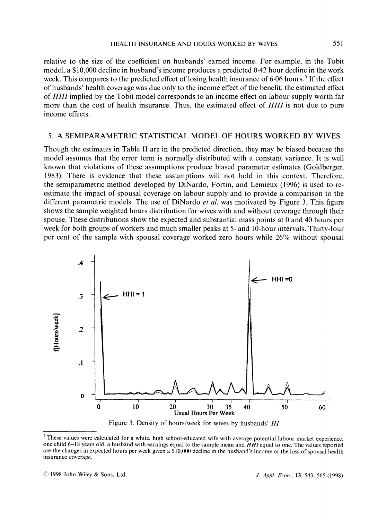**relative to the size of the coefficient on husbands' earned income. For example, in the Tobit model, a \$10,000 decline in husband's income produces a predicted 0.42 hour decline in the work**  week. This compares to the predicted effect of losing health insurance of 6.06 hours.<sup>5</sup> If the effect **of husbands' health coverage was due only to the income effect of the benefit, the estimated effect of HHI implied by the Tobit model corresponds to an income effect on labour supply worth far more than the cost of health insurance. Thus, the estimated effect of HHI is not due to pure income effects.** 

#### **5. A SEMIPARAMETRIC STATISTICAL MODEL OF HOURS WORKED BY WIVES**

**Though the estimates in Table II are in the predicted direction, they may be biased because the model assumes that the error term is normally distributed with a constant variance. It is well known that violations of these assumptions produce biased parameter estimates (Goldberger, 1983). There is evidence that these assumptions will not hold in this context. Therefore, the semiparametric method developed by DiNardo, Fortin, and Lemieux (1996) is used to reestimate the impact of spousal coverage on labour supply and to provide a comparison to the different parametric models. The use of DiNardo et al. was motivated by Figure 3. This figure shows the sample weighted hours distribution for wives with and without coverage through their spouse. These distributions show the expected and substantial mass points at 0 and 40 hours per week for both groups of workers and much smaller peaks at 5- and 10-hour intervals. Thirty-four per cent of the sample with spousal coverage worked zero hours while 26% without spousal** 



**Figure 3. Density of hours/week for wives by husbands' HI** 

**? 1998 John Wiley & Sons, Ltd.** 

**J. Appl. Econ., 13, 543-565 (1998)** 

**<sup>5</sup> These values were calculated for a white, high school-educated wife with average potential labour market experience, one child 6-18 years old, a husband with earnings equal to the sample mean and HHI equal to one. The values reported are the changes in expected hours per week given a \$10,000 decline in the husband's income or the loss of spousal health insurance coverage.**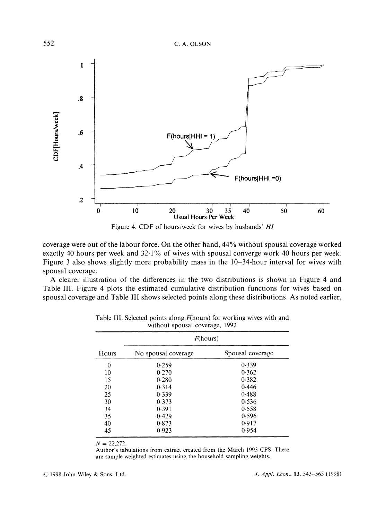



**coverage were out of the labour force. On the other hand, 44% without spousal coverage worked exactly 40 hours per week and 32 1% of wives with spousal converge work 40 hours per week. Figure 3 also shows slightly more probability mass in the 10-34-hour interval for wives with spousal coverage.** 

**A clearer illustration of the differences in the two distributions is shown in Figure 4 and Table III. Figure 4 plots the estimated cumulative distribution functions for wives based on spousal coverage and Table III shows selected points along these distributions. As noted earlier,** 

|       | $F$ (hours)         |                  |
|-------|---------------------|------------------|
| Hours | No spousal coverage | Spousal coverage |
| 0     | 0.259               | 0.339            |
| 10    | 0.270               | 0.362            |
| 15    | 0.280               | 0.382            |
| 20    | 0.314               | 0.446            |
| 25    | 0.339               | 0.488            |
| 30    | 0.373               | 0.536            |
| 34    | 0.391               | 0.558            |
| 35    | 0.429               | 0.596            |
| 40    | 0.873               | 0.917            |
| 45    | 0.923               | 0.954            |

**Table III. Selected points along F(hours) for working wives with and without spousal coverage, 1992** 

 $N = 22,272.$ 

**Author's tabulations from extract created from the March 1993 CPS. These are sample weighted estimates using the household sampling weights.**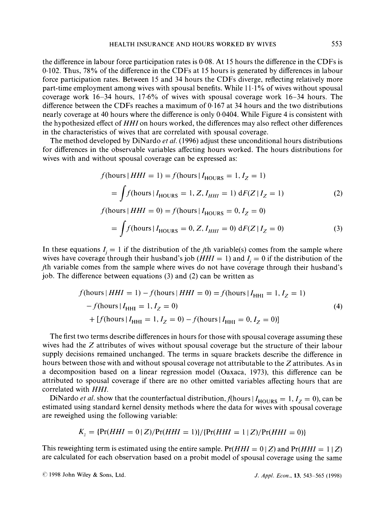**the difference in labour force participation rates is 0.08. At 15 hours the difference in the CDFs is 0-102. Thus, 78% of the difference in the CDFs at 15 hours is generated by differences in labour force participation rates. Between 15 and 34 hours the CDFs diverge, reflecting relatively more part-time employment among wives with spousal benefits. While I 1 \*1 % of wives without spousal coverage work 16-34 hours, 17-6% of wives with spousal coverage work 16-34 hours. The difference between the CDFs reaches a maximum of 0 167 at 34 hours and the two distributions nearly coverage at 40 hours where the difference is only 0-0404. While Figure 4 is consistent with the hypothesized effect of HHI on hours worked, the differences may also reflect other differences in the characteristics of wives that are correlated with spousal coverage.** 

**The method developed by DiNardo et al. (1996) adjust these unconditional hours distributions for differences in the observable variables affecting hours worked. The hours distributions for wives with and without spousal coverage can be expressed as:** 

$$
f(\text{hours} | HHI = 1) = f(\text{hours} | I_{\text{HOURS}} = 1, I_Z = 1)
$$
  
= 
$$
\int f(\text{hours} | I_{\text{HOURS}} = 1, Z, I_{\text{HHI}} = 1) \, \text{d}F(Z | I_Z = 1)
$$
 (2)  

$$
f(\text{hours} | HHI = 0) = f(\text{hours} | I_{\text{HOURS}} = 0, I_Z = 0)
$$
  
= 
$$
\int f(\text{hours} | I_{\text{HOURS}} = 0, Z, I_{\text{HHI}} = 0) \, \text{d}F(Z | I_Z = 0)
$$
 (3)

In these equations  $I_i = 1$  if the distribution of the *j*th variable(s) comes from the sample where wives have coverage through their husband's job  $(HHI = 1)$  and  $I<sub>i</sub> = 0$  if the distribution of the **jth variable comes from the sample where wives do not have coverage through their husband's job. The difference between equations (3) and (2) can be written as** 

$$
f(\text{hours} \mid HHI = 1) - f(\text{hours} \mid HHI = 0) = f(\text{hours} \mid I_{\text{HHI}} = 1, I_Z = 1) - f(\text{hours} \mid I_{\text{HHI}} = 1, I_Z = 0) + [f(\text{hours} \mid I_{\text{HHI}} = 1, I_Z = 0) - f(\text{hours} \mid I_{\text{HHI}} = 0, I_Z = 0)]
$$
\n(4)

**The first two terms describe differences in hours for those with spousal coverage assuming these wives had the Z attributes of wives without spousal coverage but the structure of their labour supply decisions remained unchanged. The terms in square brackets describe the difference in hours between those with and without spousal coverage not attributable to the Z attributes. As in a decomposition based on a linear regression model (Oaxaca, 1973), this difference can be attributed to spousal coverage if there are no other omitted variables affecting hours that are correlated with HHI.** 

**DiNardo** *et al.* **show that the counterfactual distribution, f(hours**  $|I_{\text{HOLRS}} = 1, I_{Z} = 0$ **), can be estimated using standard kernel density methods where the data for wives with spousal coverage are reweighed using the following variable:** 

$$
K_z = \{ \Pr(HHI = 0 \mid Z) / \Pr(HHI = 1) \} / \{ \Pr(HHI = 1 \mid Z) / \Pr(HHI = 0) \}
$$

This reweighting term is estimated using the entire sample.  $Pr(HHI = 0 | Z)$  and  $Pr(HHI = 1 | Z)$ **are calculated for each observation based on a probit model of spousal coverage using the same**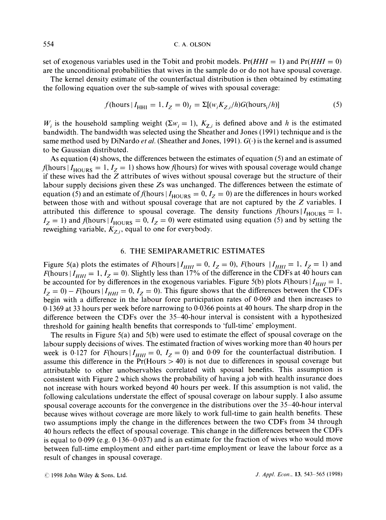set of exogenous variables used in the Tobit and probit models.  $Pr(HHI = 1)$  and  $Pr(HHI = 0)$ **are the unconditional probabilities that wives in the sample do or do not have spousal coverage.** 

**The kernel density estimate of the counterfactual distribution is then obtained by estimating the following equation over the sub-sample of wives with spousal coverage:** 

$$
f(\text{hours} \, | \, I_{\text{HHI}} = 1, I_Z = 0)_I = \Sigma[(w_i K_{Z,i}/h)G(\text{hours}_i/h)] \tag{5}
$$

 $W_i$  is the household sampling weight  $(\Sigma w_i = 1)$ ,  $K_{\mathbf{Z} i}$  is defined above and h is the estimated **bandwidth. The bandwidth was selected using the Sheather and Jones (1991) technique and is the same method used by DiNardo et al. (Sheather and Jones, 1991). G(.) is the kernel and is assumed to be Gaussian distributed.** 

**As equation (4) shows, the differences between the estimates of equation (5) and an estimate of**   $f(\text{hours} | I_{\text{HOLRS}} = 1, I_Z = 1)$  shows how  $f(\text{hours})$  for wives with spousal coverage would change **if these wives had the Z attributes of wives without spousal coverage but the structure of their labour supply decisions given these Zs was unchanged. The differences between the estimate of equation (5) and an estimate of f(hours**  $I_{\text{HOLRS}} = 0$ **,**  $I_Z = 0$ **) are the differences in hours worked between those with and without spousal coverage that are not captured by the Z variables. I attributed this difference to spousal coverage. The density functions**  $f(\text{hours} | I_{\text{HOLIRS}} = 1,$  $I_Z = 1$ ) and f(hours  $I_{\text{HOLRS}} = 0$ ,  $I_Z = 0$ ) were estimated using equation (5) and by setting the reweighing variable,  $K_{z,i}$ , equal to one for everybody.

## **6. THE SEMIPARAMETRIC ESTIMATES**

**Figure** 5(a) plots the estimates of  $F(\text{hours} | I_{HH} = 0, I_Z = 0)$ ,  $F(\text{hours} | I_{HH} = 1, I_Z = 1)$  and  $F(\text{hours} | I_{HH} = 1, I_Z = 0)$ . Slightly less than 17% of the difference in the CDFs at 40 hours can be accounted for by differences in the exogenous variables. Figure 5(b) plots  $F(\text{hours} | I_{HH} = 1,$  $I_Z = 0$ ) – F(hours  $I_{HHI} = 0$ ,  $I_Z = 0$ ). This figure shows that the differences between the CDFs **begin with a difference in the labour force participation rates of 0-069 and then increases to 0 1369 at 33 hours per week before narrowing to 0.0366 points at 40 hours. The sharp drop in the difference between the CDFs over the 35-40-hour interval is consistent with a hypothesized threshold for gaining health benefits that corresponds to 'full-time' employment.** 

**The results in Figure 5(a) and 5(b) were used to estimate the effect of spousal coverage on the labour supply decisions of wives. The estimated fraction of wives working more than 40 hours per**  week is 0.127 for F(hours  $I_{HHI} = 0$ ,  $I_Z = 0$ ) and 0.09 for the counterfactual distribution. I **assume this difference in the Pr(Hours > 40) is not due to differences in spousal coverage but attributable to other unobservables correlated with spousal benefits. This assumption is consistent with Figure 2 which shows the probability of having a job with health insurance does not increase with hours worked beyond 40 hours per week. If this assumption is not valid, the following calculations understate the effect of spousal coverage on labour supply. I also assume spousal coverage accounts for the convergence in the distributions over the 35-40-hour interval because wives without coverage are more likely to work full-time to gain health benefits. These two assumptions imply the change in the differences between the two CDFs from 34 through 40 hours reflects the effect of spousal coverage. This change in the differences between the CDFs is equal to 0-099 (e.g. 0. 136-0-037) and is an estimate for the fraction of wives who would move between full-time employment and either part-time employment or leave the labour force as a result of changes in spousal coverage.**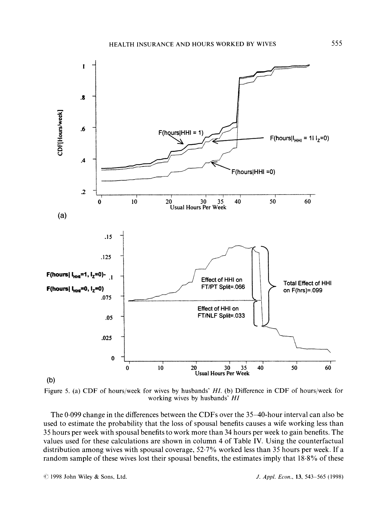

**Figure 5. (a) CDF of hours/week for wives by husbands' HI. (b) Difference in CDF of hours/week for working wives by husbands' HI** 

**The 0 099 change in the differences between the CDFs over the 35-40-hour interval can also be used to estimate the probability that the loss of spousal benefits causes a wife working less than 35 hours per week with spousal benefits to work more than 34 hours per week to gain benefits. The values used for these calculations are shown in column 4 of Table IV. Using the counterfactual distribution among wives with spousal coverage, 52-7% worked less than 35 hours per week. If a random sample of these wives lost their spousal benefits, the estimates imply that 18-8% of these**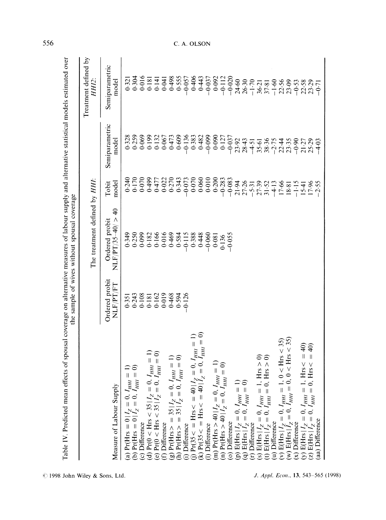|                                                                                                                                                    |                             | The treatment defined by <i>HHI</i> :              |                |                         | Treatment defined by<br>HHI2: |
|----------------------------------------------------------------------------------------------------------------------------------------------------|-----------------------------|----------------------------------------------------|----------------|-------------------------|-------------------------------|
| Measure of Labour Supply                                                                                                                           | Ordered probit<br>NLF/PT/FT | $\frac{1}{2}$<br>$NLF/PT/35-40/$<br>Ordered probit | model<br>Tobit | Semiparametric<br>model | Semiparametric<br>model       |
| $\equiv$<br>(a) Pr(Hrs = $0   I_2 = 0, I_{HH} =$                                                                                                   | 0.351                       | 0.349                                              | 0.240          | 0.328                   | 0.321                         |
| (b) Pr(Hrs = $0   I_Z = 0$ , $I_{HHI} = 0$ )                                                                                                       | 0.243                       | 0.250                                              | 0.170          | 0.259                   | 0.304                         |
| (c) Difference                                                                                                                                     | 0.108                       | 0.099                                              | 0.070          | 0.069                   | 0.016                         |
| (d) Pr(0 < Hrs < 35   $I_Z$ = 0, $I_{HHI}$ = 1)<br>(e) Pr(0 < Hrs < 35   $I_Z$ = 0, $I_{HHI}$ = 0)                                                 | 0.181                       | 0.182                                              | 664.0          | 0.199                   | 0.181                         |
|                                                                                                                                                    | 0.162                       | 0.166                                              | 0.477          | 0.132                   | 0.141                         |
| (f) Difference                                                                                                                                     | 0.019                       | 0.016                                              | 0.022          | 0.067                   | 0.041                         |
| (g) Pr(Hrs > = 35   $I_z$ = 0, $I_{HHI}$ = 1)<br>(b) Pr(Hrs > = 35   $I_Z = 0$ , $I_{HHI} = 0$ )<br>(h) Pr(Hrs > = 35   $I_Z = 0$ , $I_{HHI}$ = 0) | 0.468<br>0.594              | 0.469<br>0.584                                     | 0.270<br>0.343 | 0.609<br>0.473          | 864-0<br>0.555                |
| (i) Difference                                                                                                                                     | 0.126                       | $-0.115$                                           | $-0.073$       | $-0.136$                | $-0.057$                      |
| (i) Pr(35 < = Hrs < = 40   $I_{\bar{Z}}$ = 0, $I_{\bar{H}H}$ = 1)                                                                                  |                             | 0.388                                              | 0.070          | 0.383                   | 0.406                         |
| $\tilde{k}$ ) Pr(35 < = Hrs < = 40   $\tilde{l}_Z$ = 0, $\tilde{l}_{HH}$ = 0)                                                                      |                             | 0.448                                              | 0.060          | 0.482                   | 0.443                         |
| (l) Difference                                                                                                                                     |                             | $-0.060$                                           | 0.010          | $-0.099$                | $-0.037$                      |
| (m) Pr(Hrs > 40   $I_Z$ = 0, $I_{HHI}$ = 1)<br>(n) Pr(Hrs > 40   $I_Z$ = 0, $I_{HHI}$ = 0)                                                         |                             | 0.081                                              | 0.200          | 0.090                   | 0.092                         |
|                                                                                                                                                    |                             | 0.136                                              | $-0.283$       | 0.127                   | $-0.112$                      |
| (o) Difference                                                                                                                                     |                             | $-0.055$                                           | $-0.083$       | $-0.037$                | $-0.020$                      |
| (p) E(Hrs $ I_z = 0$ , $I_{HHI} = 1$ )<br>(q) E(Hrs $ I_z = 0$ , $I_{HHI} = 0$ )                                                                   |                             |                                                    | 21.94          | 23.92                   | 24.60                         |
|                                                                                                                                                    |                             |                                                    | 27.26          | 28.43                   | 26.30                         |
| (r) Difference                                                                                                                                     |                             |                                                    | $-5.31$        | $-4.51$                 | $-1.70$                       |
| 1, Hrs $> 0$<br>(s) E(Hrs $ I_z = 0$ , $I_{HHI} =$<br>(t) E(Hrs $ I_z = 0$ , $I_{HHI} =$                                                           |                             |                                                    | 27.39          | 35.61                   | 36.21                         |
| 0, Hrs > 0                                                                                                                                         |                             |                                                    | 31.52          | 38.36                   | 37.81                         |
| (u) Difference                                                                                                                                     |                             |                                                    | $-4.13$        | $-2.75$                 | $-1.60$                       |
| $1, 0 <$ Hrs < 35)<br>(v) E(Hrs $ I_z = 0, I_{HHI} =$                                                                                              |                             |                                                    | 17.66          | 22.44                   | 22.56                         |
| (w) E(Hrs $ \tilde{I}_Z = 0, \tilde{I}_{HHI}^{III} = 0, 0 <$ Hrs < 35)<br>(x) Difference                                                           |                             |                                                    | 18.81          | 23.35                   | 23.09                         |
|                                                                                                                                                    |                             |                                                    | $-1.15$        | $-0.90$                 | $-0.53$                       |
| $= 40$<br>$= 40$<br>1. Hrs <<br>0, Hrs <<br>(y) E(Hrs $ I_z = 0$ , $I_{HHI} =$<br>(z) E(Hrs $ I_z = 0$ , $I_{HHI} =$                               |                             |                                                    | 17.96<br>15.41 | 25.29<br>$21 - 27$      | 22.58<br>23.29                |
| (aa) Difference                                                                                                                                    |                             |                                                    | 2.55           | $-4.03$                 | $-0.71$                       |

© 1998 John Wiley & Sons, Ltd.

J. Appl. Econ., 13, 543-565 (1998)

C. A. OLSON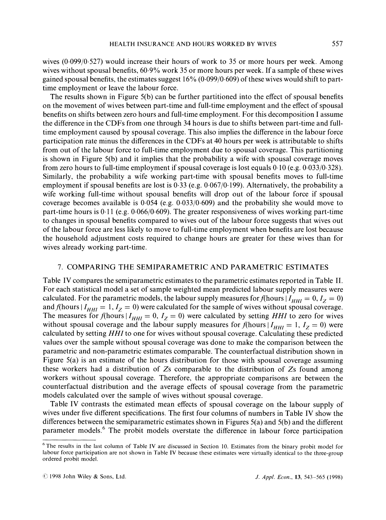**wives (0-099/0-527) would increase their hours of work to 35 or more hours per week. Among wives without spousal benefits, 60.9% work 35 or more hours per week. If a sample of these wives gained spousal benefits, the estimates suggest 16% (0-099/0-609) of these wives would shift to parttime employment or leave the labour force.** 

**The results shown in Figure 5(b) can be further partitioned into the effect of spousal benefits on the movement of wives between part-time and full-time employment and the effect of spousal benefits on shifts between zero hours and full-time employment. For this decomposition I assume the difference in the CDFs from one through 34 hours is due to shifts between part-time and fulltime employment caused by spousal coverage. This also implies the difference in the labour force participation rate minus the differences in the CDFs at 40 hours per week is attributable to shifts from out of the labour force to full-time employment due to spousal coverage. This partitioning is shown in Figure 5(b) and it implies that the probability a wife with spousal coverage moves from zero hours to full-time employment if spousal coverage is lost equals 0 10 (e.g. 0.033/0-328). Similarly, the probability a wife working part-time with spousal benefits moves to full-time employment if spousal benefits are lost is 0 33 (e.g. 0.067/0-199). Alternatively, the probability a wife working full-time without spousal benefits will drop out of the labour force if spousal coverage becomes available is 0-054 (e.g. 0-033/0-609) and the probability she would move to part-time hours is 0 11 (e.g. 0.066/0-609). The greater responsiveness of wives working part-time to changes in spousal benefits compared to wives out of the labour force suggests that wives out of the labour force are less likely to move to full-time employment when benefits are lost because the household adjustment costs required to change hours are greater for these wives than for wives already working part-time.** 

## **7. COMPARING THE SEMIPARAMETRIC AND PARAMETRIC ESTIMATES**

**Table IV compares the semiparametric estimates to the parametric estimates reported in Table II. For each statistical model a set of sample weighted mean predicted labour supply measures were**  calculated. For the parametric models, the labour supply measures for  $f(\text{hours} | I_{HHI} = 0, I_Z = 0)$ and  $f(\text{hours} | I_{HH} = 1, I_Z = 0)$  were calculated for the sample of wives without spousal coverage. The measures for  $f(\text{hours} | I_{HH} = 0, I_Z = 0)$  were calculated by setting *HHI* to zero for wives without spousal coverage and the labour supply measures for  $f(\text{hours} | I_{HH} = 1, I_{Z} = 0)$  were **calculated by setting HHI to one for wives without spousal coverage. Calculating these predicted values over the sample without spousal coverage was done to make the comparison between the parametric and non-parametric estimates comparable. The counterfactual distribution shown in Figure 5(a) is an estimate of the hours distribution for those with spousal coverage assuming these workers had a distribution of Zs comparable to the distribution of Zs found among workers without spousal coverage. Therefore, the appropriate comparisons are between the counterfactual distribution and the average effects of spousal coverage from the parametric models calculated over the sample of wives without spousal coverage.** 

**Table IV contrasts the estimated mean effects of spousal coverage on the labour supply of wives under five different specifications. The first four columns of numbers in Table IV show the differences between the semiparametric estimates shown in Figures 5(a) and 5(b) and the different parameter models.6 The probit models overstate the difference in labour force participation** 

**<sup>6</sup>The results in the last column of Table IV are discussed in Section 10. Estimates from the binary probit model for labour force participation are not shown in Table IV because these estimates were virtually identical to the three-group ordered probit model.**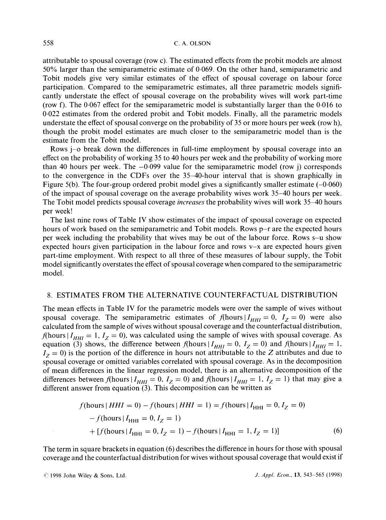#### **C. A. OLSON**

**attributable to spousal coverage (row c). The estimated effects from the probit models are almost 50% larger than the semiparametric estimate of 0-069. On the other hand, semiparametric and Tobit models give very similar estimates of the effect of spousal coverage on labour force participation. Compared to the semiparametric estimates, all three parametric models significantly understate the effect of spousal coverage on the probability wives will work part-time (row f). The 0067 effect for the semiparametric model is substantially larger than the 0-016 to 0 022 estimates from the ordered probit and Tobit models. Finally, all the parametric models understate the effect of spousal converge on the probability of 35 or more hours per week (row h), though the probit model estimates are much closer to the semiparametric model than is the estimate from the Tobit model.** 

**Rows j-o break down the differences in full-time employment by spousal coverage into an effect on the probability of working 35 to 40 hours per week and the probability of working more**  than 40 hours per week. The  $-0.099$  value for the semiparametric model (row j) corresponds **to the convergence in the CDFs over the 35-40-hour interval that is shown graphically in**  Figure 5(b). The four-group ordered probit model gives a significantly smaller estimate (-0.060) **of the impact of spousal coverage on the average probability wives work 35-40 hours per week. The Tobit model predicts spousal coverage increases the probability wives will work 35-40 hours per week!** 

**The last nine rows of Table IV show estimates of the impact of spousal coverage on expected hours of work based on the semiparametric and Tobit models. Rows p-r are the expected hours per week including the probability that wives may be out of the labour force. Rows s-u show expected hours given participation in the labour force and rows v-x are expected hours given part-time employment. With respect to all three of these measures of labour supply, the Tobit model significantly overstates the effect of spousal coverage when compared to the semiparametric model.** 

#### **8. ESTIMATES FROM THE ALTERNATIVE COUNTERFACTUAL DISTRIBUTION**

**The mean effects in Table IV for the parametric models were over the sample of wives without**  spousal coverage. The semiparametric estimates of  $f(\text{hours} | I_{HH} = 0, I_Z = 0)$  were also **calculated from the sample of wives without spousal coverage and the counterfactual distribution,**   $f(\text{hours} | I_{HH} = 1, I_Z = 0)$ , was calculated using the sample of wives with spousal coverage. As **equation** (3) shows, the difference between  $f(\text{hours} | I_{HHI} = 0, I_Z = 0)$  and  $f(\text{hours} | I_{HHI} = 1, I_{HHI} = 0)$  $I_z = 0$ ) is the portion of the difference in hours not attributable to the Z attributes and due to **spousal coverage or omitted variables correlated with spousal coverage. As in the decomposition of mean differences in the linear regression model, there is an alternative decomposition of the**  differences between  $f(\text{hours} | I_{HHI} = 0, I_Z = 0)$  and  $f(\text{hours} | I_{HHI} = 1, I_Z = 1)$  that may give a **different answer from equation (3). This decomposition can be written as** 

$$
f(\text{hours} \mid HHI = 0) - f(\text{hours} \mid HHI = 1) = f(\text{hours} \mid I_{\text{HHI}} = 0, I_Z = 0)
$$

$$
-f(\text{hours} \mid I_{\text{HHI}} = 0, I_Z = 1)
$$

$$
+ [f(\text{hours} \mid I_{\text{HHI}} = 0, I_Z = 1) - f(\text{hours} \mid I_{\text{HHI}} = 1, I_Z = 1)] \tag{6}
$$

**The term in square brackets in equation (6) describes the difference in hours for those with spousal coverage and the counterfactual distribution for wives without spousal coverage that would exist if** 

**<sup>0&#</sup>x27; 1998 John Wiley & Sons, Ltd.**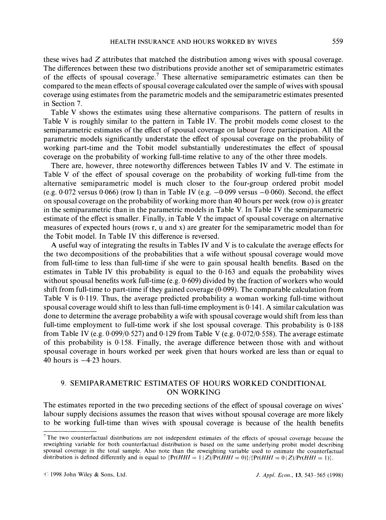**these wives had Z attributes that matched the distribution among wives with spousal coverage. The differences between these two distributions provide another set of semiparametric estimates of the effects of spousal coverage.7 These alternative semiparametric estimates can then be compared to the mean effects of spousal coverage calculated over the sample of wives with spousal coverage using estimates from the parametric models and the semiparametric estimates presented in Section 7.** 

**Table V shows the estimates using these alternative comparisons. The pattern of results in Table V is roughly similar to the pattern in Table IV. The probit models come closest to the semiparametric estimates of the effect of spousal coverage on labour force participation. All the parametric models significantly understate the effect of spousal coverage on the probability of working part-time and the Tobit model substantially underestimates the effect of spousal coverage on the probability of working full-time relative to any of the other three models.** 

**There are, however, three noteworthy differences between Tables IV and V. The estimate in Table V of the effect of spousal coverage on the probability of working full-time from the alternative semiparametric model is much closer to the four-group ordered probit model**  (e.g.  $0.072$  versus  $0.066$ ) (row 1) than in Table IV (e.g.  $-0.099$  versus  $-0.060$ ). Second, the effect **on spousal coverage on the probability of working more than 40 hours per week (row o) is greater in the semiparametric than in the parametric models in Table V. In Table IV the semiparametric estimate of the effect is smaller. Finally, in Table V the impact of spousal coverage on alternative measures of expected hours (rows r, u and x) are greater for the semiparametric model than for the Tobit model. In Table IV this difference is reversed.** 

**A useful way of integrating the results in Tables IV and V is to calculate the average effects for the two decompositions of the probabilities that a wife without spousal coverage would move from full-time to less than full-time if she were to gain spousal health benefits. Based on the estimates in Table IV this probability is equal to the 0163 and equals the probability wives without spousal benefits work full-time (e.g. 0.609) divided by the fraction of workers who would shift from full-time to part-time if they gained coverage (0-099). The comparable calculation from**  Table V is 0.119. Thus, the average predicted probability a woman working full-time without **spousal coverage would shift to less than full-time employment is 0 141. A similar calculation was done to determine the average probability a wife with spousal coverage would shift from less than full-time employment to full-time work if she lost spousal coverage. This probability is 0188 from Table IV (e.g. 0.099/0-527) and 0- 129 from Table V (e.g. 0.072/0-558). The average estimate of this probability is 0158. Finally, the average difference between those with and without spousal coverage in hours worked per week given that hours worked are less than or equal to 40 hours is -4-23 hours.** 

# **9. SEMIPARAMETRIC ESTIMATES OF HOURS WORKED CONDITIONAL ON WORKING**

**The estimates reported in the two preceding sections of the effect of spousal coverage on wives' labour supply decisions assumes the reason that wives without spousal coverage are more likely to be working full-time than wives with spousal coverage is because of the health benefits** 

**<sup>7</sup>The two counterfactual distributions are not independent estimates of the effects of spousal coverage because the reweighting variable for both counterfactual distribution is based on the same underlying probit model describing spousal coverage in the total sample. Also note than the reweighting variable used to estimate the counterfactual distribution is defined differently and is equal to**  $\{Pr(HHI = 1 | Z)/Pr(HHI = 0)\}/\{Pr(HHI = 0 | Z)/Pr(HHI = 1)\}.$ 

**<sup>(-:</sup>i 1998 John Wiley & Sons, Ltd.**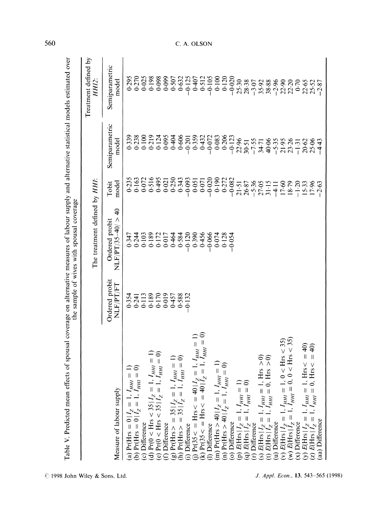| Semiparametric<br>0.238<br>0.100<br>0.219<br>0.339<br>model<br>0.235<br>0.163<br>0.072<br>0.516<br>The treatment defined by HHI:<br>model<br>Tobit<br>$\frac{1}{2}$<br>$NLF/PT/35-40/$<br>Ordered probit<br>0.244<br>0.189<br>0.347<br>0.103<br>0.172<br>Ordered probit<br>NLF/PT/FT<br>0.189<br>0.354<br>0.241<br>0.113<br>(d) Pr(0 < Hrs < 35   $I_Z$ = 1, $I_{HHI}$ = 1)<br>(e) Pr(0 < Hrs < 35   $I_Z$ = 1, $I_{HHI}$ = 0)<br>$(\mu_{HI} = 1)$<br>$\widehat{0}$<br>(a) Pr(Hrs = $0 I_z = 1, I_{HH}$<br>(b) Pr(Hrs = $0 I_z = 1, I_{HH}$<br>Measure of labour supply<br>(c) Difference |         | Treatment defined by<br>HHI2: |
|-------------------------------------------------------------------------------------------------------------------------------------------------------------------------------------------------------------------------------------------------------------------------------------------------------------------------------------------------------------------------------------------------------------------------------------------------------------------------------------------------------------------------------------------------------------------------------------------|---------|-------------------------------|
|                                                                                                                                                                                                                                                                                                                                                                                                                                                                                                                                                                                           |         |                               |
|                                                                                                                                                                                                                                                                                                                                                                                                                                                                                                                                                                                           |         | Semiparametric<br>model       |
|                                                                                                                                                                                                                                                                                                                                                                                                                                                                                                                                                                                           |         | 0.295                         |
|                                                                                                                                                                                                                                                                                                                                                                                                                                                                                                                                                                                           |         | 0.270                         |
|                                                                                                                                                                                                                                                                                                                                                                                                                                                                                                                                                                                           |         | 0.198<br>0.025                |
| 0.495<br>0.170                                                                                                                                                                                                                                                                                                                                                                                                                                                                                                                                                                            | 0.124   | 0.098                         |
| 0.095<br>0.021<br>0.017<br>0.019<br>(f) Difference                                                                                                                                                                                                                                                                                                                                                                                                                                                                                                                                        |         | 0.099                         |
| 0.404<br>0.250<br>0.464<br>0.457<br>$1, I_{HHI} = 1$                                                                                                                                                                                                                                                                                                                                                                                                                                                                                                                                      |         | 0.507                         |
| 0.606<br>0.343<br>0.584<br>0.588<br>1, $I_{HHI} = 0$ )<br>(g) Pr(Hrs > = 35   $I_Z$ = (h) Pr(Hrs > = 35   $I_Z$ =                                                                                                                                                                                                                                                                                                                                                                                                                                                                         |         | 0.632                         |
| $-0.201$<br>$-0.093$<br>$-0.120$<br>$-0.132$<br>(i) Difference                                                                                                                                                                                                                                                                                                                                                                                                                                                                                                                            |         | $-0.125$                      |
| 0.359<br>0.051<br>0.390<br>(i) $Pr(35 <$ = Hrs $\lt$ = 40   $I_z$ = 1, $I_{HHI}$ = 1)<br>(k) $Pr(35 <$ = Hrs $\lt$ = 40   $I_z$ = 1, $I_{HHI}$ = 0)                                                                                                                                                                                                                                                                                                                                                                                                                                       |         | 0.407                         |
| 0.432<br>0.071<br>0.456<br>$= 1, I_{HHI} = 0$                                                                                                                                                                                                                                                                                                                                                                                                                                                                                                                                             |         | 0.512                         |
| $-0.072$<br>$-0.020$<br>$-0.066$<br>(l) Difference                                                                                                                                                                                                                                                                                                                                                                                                                                                                                                                                        |         | $-0.105$                      |
| 0.083<br>0.190<br>0.074                                                                                                                                                                                                                                                                                                                                                                                                                                                                                                                                                                   |         | 0.100                         |
| 0.206<br>0.272<br>0.128<br>(in) Pr(Hrs > $40 I_z = 1$ , $I_{HHI} = 1$ )<br>(ii) Pr(Hrs > $40 I_z = 1$ , $I_{HHI} = 0$ )                                                                                                                                                                                                                                                                                                                                                                                                                                                                   |         | 0.120                         |
| $-0.123$<br>$-0.082$<br>$-0.054$<br>(o) Difference                                                                                                                                                                                                                                                                                                                                                                                                                                                                                                                                        |         | $-0.020$                      |
| 22.96<br>$21 - 51$                                                                                                                                                                                                                                                                                                                                                                                                                                                                                                                                                                        |         | 25.30                         |
| 30.51<br>26.87<br>(p) $E(Hrs   I_z = 1, I_{HH1} = 1)$<br>(q) $E(Hrs   I_z = 1, I_{HH1} = 0)$<br>(r) Difference                                                                                                                                                                                                                                                                                                                                                                                                                                                                            |         | 28.38                         |
| $-7.55$<br>$-5.36$                                                                                                                                                                                                                                                                                                                                                                                                                                                                                                                                                                        |         | $-3.07$                       |
| 34.71<br>27.05<br>1, Hrs $>0$ )<br>(s) $E(Hrs   I_z = 1, I_{HH1} =$<br>(t) $E(Hrs   I_z = 1, I_{HH1} =$                                                                                                                                                                                                                                                                                                                                                                                                                                                                                   |         | 35.92                         |
| 40.06<br>$31 - 15$<br>$0,$ Hrs $> 0$                                                                                                                                                                                                                                                                                                                                                                                                                                                                                                                                                      |         | 38.88                         |
| $-5.35$<br>$-4.11$<br>(u) Difference                                                                                                                                                                                                                                                                                                                                                                                                                                                                                                                                                      |         | $-2.96$                       |
| 21.95<br>17.60<br>(v) $E(Hrs   I_z = 1, I_{HH1} = 1, 0 < Hrs < 35)$<br>(w) $E(Hrs   I_z = 1, I_{HH1} = 0, 0 < Hrs < 35)$                                                                                                                                                                                                                                                                                                                                                                                                                                                                  |         | 22.90                         |
| 18.79                                                                                                                                                                                                                                                                                                                                                                                                                                                                                                                                                                                     |         | 22.20                         |
|                                                                                                                                                                                                                                                                                                                                                                                                                                                                                                                                                                                           | 23.26   |                               |
| $-1.20$<br>$(x)$ Difference                                                                                                                                                                                                                                                                                                                                                                                                                                                                                                                                                               | $-1:31$ | 0.70                          |
| 20.62<br>15.33<br>$\widehat{\mathsf{d}}$<br>$\mid$<br>1, Hrs <                                                                                                                                                                                                                                                                                                                                                                                                                                                                                                                            |         | 22.65                         |
| 25.06<br>$-4.43$<br>17.96<br>2.63<br>$\widehat{40}$<br>$\overline{\mathbf{I}}$<br>0, Hrs <<br>(y) $E(Hrs   I_z = 1, I_{HH1} =$<br>(z) $E(Hrs   I_z = 1, I_{HH1} =$<br>(aa) Difference                                                                                                                                                                                                                                                                                                                                                                                                     |         | 25.52<br>$-2.87$              |

C 1998 John Wiley & Sons, Ltd.

J. Appl. Econ., 13, 543-565 (1998)

C. A. OLSON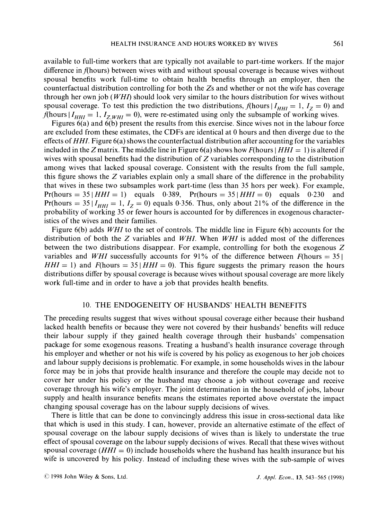**available to full-time workers that are typically not available to part-time workers. If the major**  difference in *f*(hours) between wives with and without spousal coverage is because wives without **spousal benefits work full-time to obtain health benefits through an employer, then the counterfactual distribution controlling for both the Zs and whether or not the wife has coverage through her own job (WHI) should look very similar to the hours distribution for wives without**  spousal coverage. To test this prediction the two distributions,  $f(\text{hours} | I_{HH} = 1, I_Z = 0)$  and  $f(\text{hours} | I_{HH} = 1, I_{Z,WHI} = 0)$ , were re-estimated using only the subsample of working wives.

**Figures 6(a) and 6(b) present the results from this exercise. Since wives not in the labour force are excluded from these estimates, the CDFs are identical at 0 hours and then diverge due to the effects of HHI. Figure 6(a) shows the counterfactual distribution after accounting for the variables**  included in the Z matrix. The middle line in Figure 6(a) shows how  $F(hours | HHI = 1)$  is altered if **wives with spousal benefits had the distribution of Z variables corresponding to the distribution among wives that lacked spousal coverage. Consistent with the results from the full sample, this figure shows the Z variables explain only a small share of the difference in the probability that wives in these two subsamples work part-time (less than 35 hors per week). For example, Pr(hours = 35 | HHI = 1)** equals 0.389, Pr(hours = 35 | HHI = 0) equals 0.230 and  $Pr(\text{hours} = 35 | I_{HH} = 1, I_7 = 0)$  equals 0.356. Thus, only about 21% of the difference in the **probability of working 35 or fewer hours is accounted for by differences in exogenous characteristics of the wives and their families.** 

**Figure 6(b) adds WHI to the set of controls. The middle line in Figure 6(b) accounts for the distribution of both the Z variables and WHI. When WHI is added most of the differences between the two distributions disappear. For example, controlling for both the exogenous Z**  variables and *WHI* successfully accounts for 91% of the difference between  $F(\text{hours} = 35)$  $HHI = 1$ ) and  $F$ (hours  $= 35 \mid HHI = 0$ ). This figure suggests the primary reason the hours **distributions differ by spousal coverage is because wives without spousal coverage are more likely work full-time and in order to have a job that provides health benefits.** 

#### **10. THE ENDOGENEITY OF HUSBANDS' HEALTH BENEFITS**

**The preceding results suggest that wives without spousal coverage either because their husband lacked health benefits or because they were not covered by their husbands' benefits will reduce their labour supply if they gained health coverage through their husbands' compensation package for some exogenous reasons. Treating a husband's health insurance coverage through his employer and whether or not his wife is covered by his policy as exogenous to her job choices and labour supply decisions is problematic. For example, in some households wives in the labour force may be in jobs that provide health insurance and therefore the couple may decide not to cover her under his policy or the husband may choose a job without coverage and receive coverage through his wife's employer. The joint determination in the household of jobs, labour supply and health insurance benefits means the estimates reported above overstate the impact changing spousal coverage has on the labour supply decisions of wives.** 

**There is little that can be done to convincingly address this issue in cross-sectional data like that which is used in this study. I can, however, provide an alternative estimate of the effect of spousal coverage on the labour supply decisions of wives than is likely to understate the true effect of spousal coverage on the labour supply decisions of wives. Recall that these wives without spousal coverage (HHI = 0) include households where the husband has health insurance but his wife is uncovered by his policy. Instead of including these wives with the sub-sample of wives**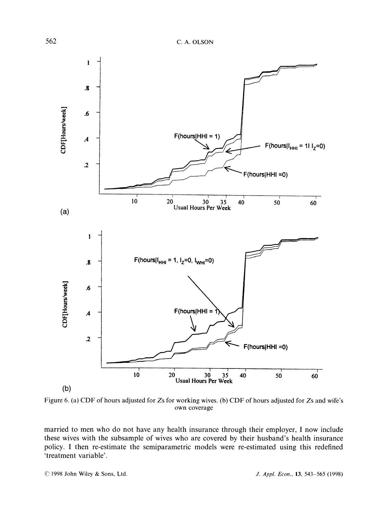

**Figure 6. (a) CDF of hours adjusted for Zs for working wives. (b) CDF of hours adjusted for Zs and wife's own coverage** 

**married to men who do not have any health insurance through their employer, I now include these wives with the subsample of wives who are covered by their husband's health insurance policy. I then re-estimate the semiparametric models were re-estimated using this redefined 'treatment variable'.**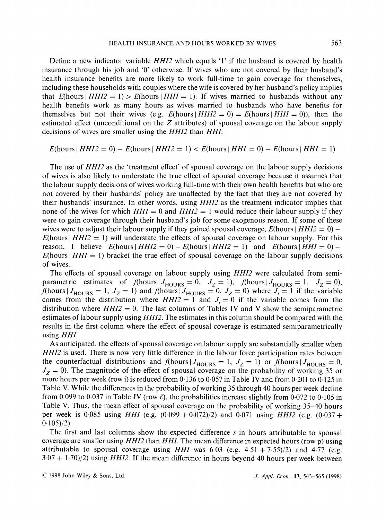**Define a new indicator variable HHI2 which equals '1' if the husband is covered by health insurance through his job and '0' otherwise. If wives who are not covered by their husband's health insurance benefits are more likely to work full-time to gain coverage for themselves, including these households with couples where the wife is covered by her husband's policy implies**  that  $E(\text{hours} | HHI2 = 1) > E(\text{hours} | HHI = 1)$ . If wives married to husbands without any **health benefits work as many hours as wives married to husbands who have benefits for**  themselves but not their wives (e.g.  $E(\text{hours} | H H I 2 = 0) = E(\text{hours} | H H I = 0)$ ), then the **estimated effect (unconditional on the Z attributes) of spousal coverage on the labour supply decisions of wives are smaller using the HHI2 than HHI:** 

$$
E(\text{hours} \mid HHI2 = 0) - E(\text{hours} \mid HHI2 = 1) < E(\text{hours} \mid HHI = 0) - E(\text{hours} \mid HHI = 1)
$$

**The use of HHI2 as the 'treatment effect' of spousal coverage on the labour supply decisions of wives is also likely to understate the true effect of spousal coverage because it assumes that the labour supply decisions of wives working full-time with their own health benefits but who are not covered by their husbands' policy are unaffected by the fact that they are not covered by their husbands' insurance. In other words, using HHI2 as the treatment indicator implies that**  none of the wives for which  $HHI = 0$  and  $HHI2 = 1$  would reduce their labour supply if they **were to gain coverage through their husband's job for some exogenous reason. If some of these**  wives were to adjust their labour supply if they gained spousal coverage,  $E(\text{hours} | HHI2 = 0)$  –  $E(\text{hours} \mid HHI2 = 1)$  will understate the effects of spousal coverage on labour supply. For this **reason, I** believe  $E(\text{hours} | HHI2 = 0) - E(\text{hours} | HHI2 = 1)$  and  $E(\text{hours} | HHI = 0) - E(\text{hours} | HHI = 0)$  $E(\text{hours} | HHI = 1)$  bracket the true effect of spousal coverage on the labour supply decisions **of wives.** 

**The effects of spousal coverage on labour supply using HHI2 were calculated from semiparametric estimates of**  $f(\text{hours} | J_{\text{HOLRS}} = 0, J_Z = 1), f(\text{hours} | J_{\text{HOLRS}} = 1, J_Z = 0)$  $f(\text{hours} \mid J_{\text{HOLRS}} = 1, J_Z = 1)$  and  $f(\text{hours} \mid J_{\text{HOLRS}} = 0, J_Z = 0)$  where  $J_i = 1$  if the variable comes from the distribution where  $HHI2 = 1$  and  $J<sub>i</sub> = 0$  if the variable comes from the distribution where  $HHI2 = 0$ . The last columns of Tables IV and V show the semiparametric **estimates of labour supply using HHI2. The estimates in this column should be compared with the results in the first column where the effect of spousal coverage is estimated semiparametrically using HHI.** 

**As anticipated, the effects of spousal coverage on labour supply are substantially smaller when HHI2 is used. There is now very little difference in the labour force participation rates between the counterfactual distributions and**  $f(\text{hours} | J_{\text{HOLRS}} = 1, J_Z = 1)$  **or**  $f(\text{hours} | J_{\text{HOLRS}} = 0,$  $J_Z = 0$ ). The magnitude of the effect of spousal coverage on the probability of working 35 or **more hours per week (row i) is reduced from 0 136 to 0-057 in Table IV and from 0 201 to 0 125 in Table V. While the differences in the probability of working 35 through 40 hours per week decline**  from 0.099 to 0.037 in Table IV (row  $\ell$ ), the probabilities increase slightly from 0.072 to 0.105 in **Table V. Thus, the mean effect of spousal coverage on the probability of working 35-40 hours per week is 0.085 using HHI (e.g.**  $(0.099 + 0.072)/2$ **) and 0.071 using HHI2 (e.g.**  $(0.037 +$  $0.105/2$ ).

**The first and last columns show the expected difference s in hours attributable to spousal coverage are smaller using HHI2 than HHI. The mean difference in expected hours (row p) using**  attributable to spousal coverage using *HHI* was  $6.03$  (e.g.  $4.51 + 7.55/2$ ) and  $4.77$  (e.g. **3 07 + 1 .70)/2) using HHI2. If the mean difference in hours beyond 40 hours per week between**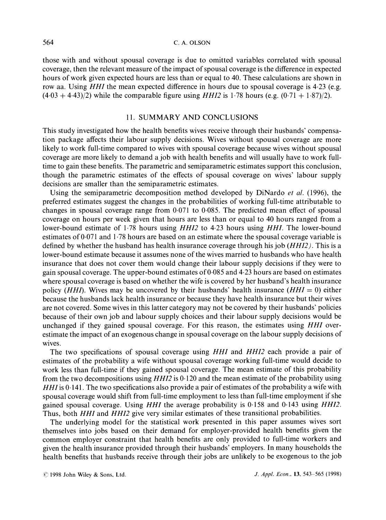**those with and without spousal coverage is due to omitted variables correlated with spousal coverage, then the relevant measure of the impact of spousal coverage is the difference in expected hours of work given expected hours are less than or equal to 40. These calculations are shown in row aa. Using HHI the mean expected difference in hours due to spousal coverage is 4 23 (e.g.**   $(4.03 + 4.43)/2$ ) while the comparable figure using *HHI2* is 1.78 hours (e.g.  $(0.71 + 1.87)/2$ ).

## **11. SUMMARY AND CONCLUSIONS**

**This study investigated how the health benefits wives receive through their husbands' compensation package affects their labour supply decisions. Wives without spousal coverage are more likely to work full-time compared to wives with spousal coverage because wives without spousal coverage are more likely to demand a job with health benefits and will usually have to work fulltime to gain these benefits. The parametric and semiparametric estimates support this conclusion, though the parametric estimates of the effects of spousal coverage on wives' labour supply decisions are smaller than the semiparametric estimates.** 

**Using the semiparametric decomposition method developed by DiNardo et al. (1996), the preferred estimates suggest the changes in the probabilities of working full-time attributable to changes in spousal coverage range from 0 071 to 0.085. The predicted mean effect of spousal coverage on hours per week given that hours are less than or equal to 40 hours ranged from a lower-bound estimate of 1 78 hours using HHI2 to 4 23 hours using HHI. The lower-bound estimates of 0 071 and 1 78 hours are based on an estimate where the spousal coverage variable is defined by whether the husband has health insurance coverage through his job (HHI2). This is a lower-bound estimate because it assumes none of the wives married to husbands who have health insurance that does not cover them would change their labour supply decisions if they were to gain spousal coverage. The upper-bound estimates of 0.085 and 4 23 hours are based on estimates where spousal coverage is based on whether the wife is covered by her husband's health insurance**  policy (*HHI*). Wives may be uncovered by their husbands' health insurance (*HHI* = 0) either **because the husbands lack health insurance or because they have health insurance but their wives are not covered. Some wives in this latter category may not be covered by their husbands' policies because of their own job and labour supply choices and their labour supply decisions would be unchanged if they gained spousal coverage. For this reason, the estimates using HHI overestimate the impact of an exogenous change in spousal coverage on the labour supply decisions of wives.** 

**The two specifications of spousal coverage using HHI and HHI2 each provide a pair of estimates of the probability a wife without spousal coverage working full-time would decide to work less than full-time if they gained spousal coverage. The mean estimate of this probability from the two decompositions using HHI2 is 0 120 and the mean estimate of the probability using HHI is 0-141. The two specifications also provide a pair of estimates of the probability a wife with spousal coverage would shift from full-time employment to less than full-time employment if she gained spousal coverage. Using HHI the average probability is 0158 and 0143 using HHI2. Thus, both HHI and HHI2 give very similar estimates of these transitional probabilities.** 

**The underlying model for the statistical work presented in this paper assumes wives sort themselves into jobs based on their demand for employer-provided health benefits given the common employer constraint that health benefits are only provided to full-time workers and given the health insurance provided through their husbands' employers. In many households the health benefits that husbands receive through their jobs are unlikely to be exogenous to the job**